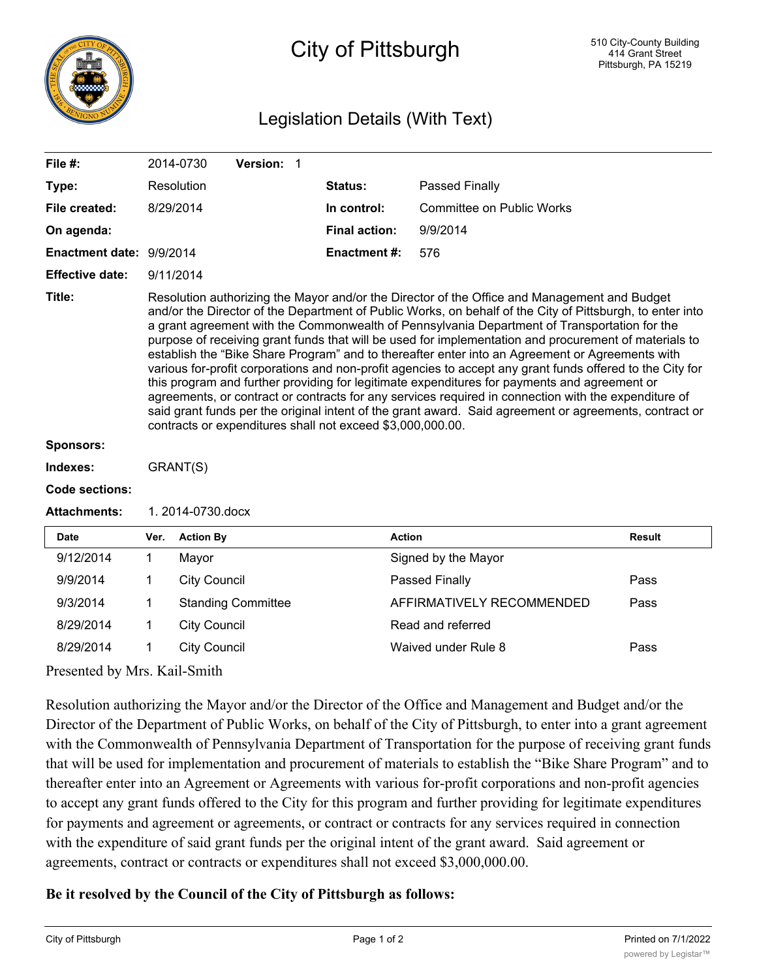

## City of Pittsburgh

## Legislation Details (With Text)

| File #:                  |                                                                                                                                                                                                                                                                                                                                                                                                                                                                                                                                                                                                                                                                                                                                                                                                                                                                                                                                                                                                                    | 2014-0730           | Version: 1                |  |                      |                           |               |  |
|--------------------------|--------------------------------------------------------------------------------------------------------------------------------------------------------------------------------------------------------------------------------------------------------------------------------------------------------------------------------------------------------------------------------------------------------------------------------------------------------------------------------------------------------------------------------------------------------------------------------------------------------------------------------------------------------------------------------------------------------------------------------------------------------------------------------------------------------------------------------------------------------------------------------------------------------------------------------------------------------------------------------------------------------------------|---------------------|---------------------------|--|----------------------|---------------------------|---------------|--|
| Type:                    |                                                                                                                                                                                                                                                                                                                                                                                                                                                                                                                                                                                                                                                                                                                                                                                                                                                                                                                                                                                                                    | Resolution          |                           |  | <b>Status:</b>       | Passed Finally            |               |  |
| File created:            | 8/29/2014                                                                                                                                                                                                                                                                                                                                                                                                                                                                                                                                                                                                                                                                                                                                                                                                                                                                                                                                                                                                          |                     |                           |  | In control:          | Committee on Public Works |               |  |
| On agenda:               |                                                                                                                                                                                                                                                                                                                                                                                                                                                                                                                                                                                                                                                                                                                                                                                                                                                                                                                                                                                                                    |                     |                           |  | <b>Final action:</b> | 9/9/2014                  |               |  |
| Enactment date: 9/9/2014 |                                                                                                                                                                                                                                                                                                                                                                                                                                                                                                                                                                                                                                                                                                                                                                                                                                                                                                                                                                                                                    |                     |                           |  | <b>Enactment#:</b>   | 576                       |               |  |
| <b>Effective date:</b>   | 9/11/2014                                                                                                                                                                                                                                                                                                                                                                                                                                                                                                                                                                                                                                                                                                                                                                                                                                                                                                                                                                                                          |                     |                           |  |                      |                           |               |  |
| Title:                   | Resolution authorizing the Mayor and/or the Director of the Office and Management and Budget<br>and/or the Director of the Department of Public Works, on behalf of the City of Pittsburgh, to enter into<br>a grant agreement with the Commonwealth of Pennsylvania Department of Transportation for the<br>purpose of receiving grant funds that will be used for implementation and procurement of materials to<br>establish the "Bike Share Program" and to thereafter enter into an Agreement or Agreements with<br>various for-profit corporations and non-profit agencies to accept any grant funds offered to the City for<br>this program and further providing for legitimate expenditures for payments and agreement or<br>agreements, or contract or contracts for any services required in connection with the expenditure of<br>said grant funds per the original intent of the grant award. Said agreement or agreements, contract or<br>contracts or expenditures shall not exceed \$3,000,000.00. |                     |                           |  |                      |                           |               |  |
| Sponsors:                |                                                                                                                                                                                                                                                                                                                                                                                                                                                                                                                                                                                                                                                                                                                                                                                                                                                                                                                                                                                                                    |                     |                           |  |                      |                           |               |  |
| Indexes:                 |                                                                                                                                                                                                                                                                                                                                                                                                                                                                                                                                                                                                                                                                                                                                                                                                                                                                                                                                                                                                                    | GRANT(S)            |                           |  |                      |                           |               |  |
| <b>Code sections:</b>    |                                                                                                                                                                                                                                                                                                                                                                                                                                                                                                                                                                                                                                                                                                                                                                                                                                                                                                                                                                                                                    |                     |                           |  |                      |                           |               |  |
| <b>Attachments:</b>      | 1. 2014-0730.docx                                                                                                                                                                                                                                                                                                                                                                                                                                                                                                                                                                                                                                                                                                                                                                                                                                                                                                                                                                                                  |                     |                           |  |                      |                           |               |  |
| <b>Date</b>              | Ver.                                                                                                                                                                                                                                                                                                                                                                                                                                                                                                                                                                                                                                                                                                                                                                                                                                                                                                                                                                                                               | <b>Action By</b>    |                           |  |                      | <b>Action</b>             | <b>Result</b> |  |
| 9/12/2014                | 1                                                                                                                                                                                                                                                                                                                                                                                                                                                                                                                                                                                                                                                                                                                                                                                                                                                                                                                                                                                                                  | Mayor               |                           |  |                      | Signed by the Mayor       |               |  |
| 9/9/2014                 | 1                                                                                                                                                                                                                                                                                                                                                                                                                                                                                                                                                                                                                                                                                                                                                                                                                                                                                                                                                                                                                  | <b>City Council</b> |                           |  |                      | Passed Finally            | Pass          |  |
| 9/3/2014                 | 1                                                                                                                                                                                                                                                                                                                                                                                                                                                                                                                                                                                                                                                                                                                                                                                                                                                                                                                                                                                                                  |                     | <b>Standing Committee</b> |  |                      | AFFIRMATIVELY RECOMMENDED | Pass          |  |
| 8/29/2014                | 1                                                                                                                                                                                                                                                                                                                                                                                                                                                                                                                                                                                                                                                                                                                                                                                                                                                                                                                                                                                                                  | <b>City Council</b> |                           |  |                      | Read and referred         |               |  |
| 8/29/2014                | 1                                                                                                                                                                                                                                                                                                                                                                                                                                                                                                                                                                                                                                                                                                                                                                                                                                                                                                                                                                                                                  | <b>City Council</b> |                           |  |                      | Waived under Rule 8       | Pass          |  |

Presented by Mrs. Kail-Smith

Resolution authorizing the Mayor and/or the Director of the Office and Management and Budget and/or the Director of the Department of Public Works, on behalf of the City of Pittsburgh, to enter into a grant agreement with the Commonwealth of Pennsylvania Department of Transportation for the purpose of receiving grant funds that will be used for implementation and procurement of materials to establish the "Bike Share Program" and to thereafter enter into an Agreement or Agreements with various for-profit corporations and non-profit agencies to accept any grant funds offered to the City for this program and further providing for legitimate expenditures for payments and agreement or agreements, or contract or contracts for any services required in connection with the expenditure of said grant funds per the original intent of the grant award. Said agreement or agreements, contract or contracts or expenditures shall not exceed \$3,000,000.00.

## **Be it resolved by the Council of the City of Pittsburgh as follows:**